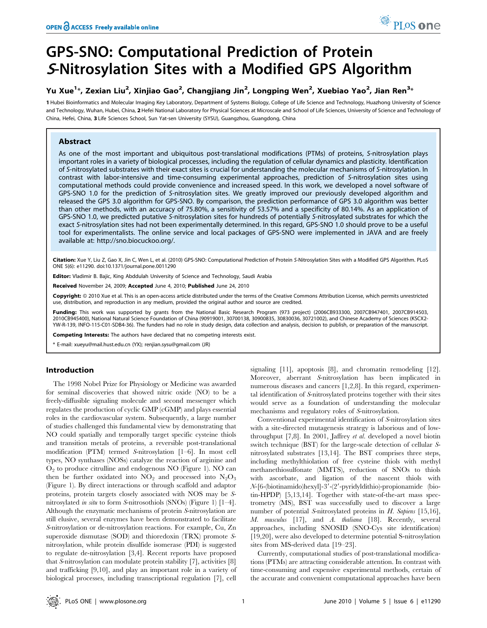# GPS-SNO: Computational Prediction of Protein <sup>S</sup>-Nitrosylation Sites with a Modified GPS Algorithm

# Yu Xue<sup>1</sup>\*, Zexian Liu<sup>2</sup>, Xinjiao Gao<sup>2</sup>, Changjiang Jin<sup>2</sup>, Longping Wen<sup>2</sup>, Xuebiao Yao<sup>2</sup>, Jian Ren<sup>3</sup>\*

1 Hubei Bioinformatics and Molecular Imaging Key Laboratory, Department of Systems Biology, College of Life Science and Technology, Huazhong University of Science and Technology, Wuhan, Hubei, China, 2 Hefei National Laboratory for Physical Sciences at Microscale and School of Life Sciences, University of Science and Technology of China, Hefei, China, 3 Life Sciences School, Sun Yat-sen University (SYSU), Guangzhou, Guangdong, China

# Abstract

As one of the most important and ubiquitous post-translational modifications (PTMs) of proteins, S-nitrosylation plays important roles in a variety of biological processes, including the regulation of cellular dynamics and plasticity. Identification of S-nitrosylated substrates with their exact sites is crucial for understanding the molecular mechanisms of S-nitrosylation. In contrast with labor-intensive and time-consuming experimental approaches, prediction of S-nitrosylation sites using computational methods could provide convenience and increased speed. In this work, we developed a novel software of GPS-SNO 1.0 for the prediction of S-nitrosylation sites. We greatly improved our previously developed algorithm and released the GPS 3.0 algorithm for GPS-SNO. By comparison, the prediction performance of GPS 3.0 algorithm was better than other methods, with an accuracy of 75.80%, a sensitivity of 53.57% and a specificity of 80.14%. As an application of GPS-SNO 1.0, we predicted putative S-nitrosylation sites for hundreds of potentially S-nitrosylated substrates for which the exact S-nitrosylation sites had not been experimentally determined. In this regard, GPS-SNO 1.0 should prove to be a useful tool for experimentalists. The online service and local packages of GPS-SNO were implemented in JAVA and are freely available at: http://sno.biocuckoo.org/.

Citation: Xue Y, Liu Z, Gao X, Jin C, Wen L, et al. (2010) GPS-SNO: Computational Prediction of Protein S-Nitrosylation Sites with a Modified GPS Algorithm. PLoS ONE 5(6): e11290. doi:10.1371/journal.pone.0011290

Editor: Vladimir B. Bajic, King Abddulah University of Science and Technology, Saudi Arabia

Received November 24, 2009; Accepted June 4, 2010; Published June 24, 2010

Copyright: © 2010 Xue et al. This is an open-access article distributed under the terms of the Creative Commons Attribution License, which permits unrestricted use, distribution, and reproduction in any medium, provided the original author and source are credited.

**Funding:** This work was supported by grants from the National Basic Research Program (973 project) (2006CB933300, 2007CB947401, 2007CB914503,<br>2010CB945400), National Natural Science Foundation of China (90919001, 30700138 YW-R-139, INFO-115-C01-SDB4-36). The funders had no role in study design, data collection and analysis, decision to publish, or preparation of the manuscript.

Competing Interests: The authors have declared that no competing interests exist.

\* E-mail: xueyu@mail.hust.edu.cn (YX); renjian.sysu@gmail.com (JR)

# Introduction

The 1998 Nobel Prize for Physiology or Medicine was awarded for seminal discoveries that showed nitric oxide (NO) to be a freely-diffusible signaling molecule and second messenger which regulates the production of cyclic GMP (cGMP) and plays essential roles in the cardiovascular system. Subsequently, a large number of studies challenged this fundamental view by demonstrating that NO could spatially and temporally target specific cysteine thiols and transition metals of proteins, a reversible post-translational modification (PTM) termed S-nitrosylation [1–6]. In most cell types, NO synthases (NOSs) catalyze the reaction of arginine and  $O<sub>2</sub>$  to produce citrulline and endogenous NO (Figure 1). NO can then be further oxidated into  $NO_2$  and processed into  $N_2O_3$ (Figure 1). By direct interactions or through scaffold and adaptor proteins, protein targets closely associated with NOS may be Snitrosylated *in situ* to form *S*-nitrosothiols (SNOs) (Figure 1) [1–4]. Although the enzymatic mechanisms of protein S-nitrosylation are still elusive, several enzymes have been demonstrated to facilitate S-nitrosylation or de-nitrosylation reactions. For example, Cu, Zn superoxide dismutase (SOD) and thioredoxin (TRX) promote Snitrosylation, while protein disulfide isomerase (PDI) is suggested to regulate de-nitrosylation [3,4]. Recent reports have proposed that S-nitrosylation can modulate protein stability [7], activities [8] and trafficking [9,10], and play an important role in a variety of biological processes, including transcriptional regulation [7], cell signaling [11], apoptosis [8], and chromatin remodeling [12]. Moreover, aberrant S-nitrosylation has been implicated in numerous diseases and cancers [1,2,8]. In this regard, experimental identification of S-nitrosylated proteins together with their sites would serve as a foundation of understanding the molecular mechanisms and regulatory roles of S-nitrosylation.

Conventional experimental identification of S-nitrosylation sites with a site-directed mutagenesis strategy is laborious and of lowthroughput [7,8]. In 2001, Jaffrey et al. developed a novel biotin switch technique (BST) for the large-scale detection of cellular Snitrosylated substrates [13,14]. The BST comprises three steps, including methylthiolation of free cysteine thiols with methyl methanethiosulfonate (MMTS), reduction of SNOs to thiols with ascorbate, and ligation of the nascent thiols with  $N-[6-(biotinamido)hexyl]-3'-(2'-pyridyldithio)-propionamide$  (biotin-HPDP) [5,13,14]. Together with state-of-the-art mass spectrometry (MS), BST was successfully used to discover a large number of potential S-nitrosylated proteins in  $H$ . Sapiens [15,16], M. musculus [17], and A. thaliana [18]. Recently, several approaches, including SNOSID (SNO-Cys site identification) [19,20], were also developed to determine potential S-nitrosylation sites from MS-derived data [19–23].

Currently, computational studies of post-translational modifications (PTMs) are attracting considerable attention. In contrast with time-consuming and expensive experimental methods, certain of the accurate and convenient computational approaches have been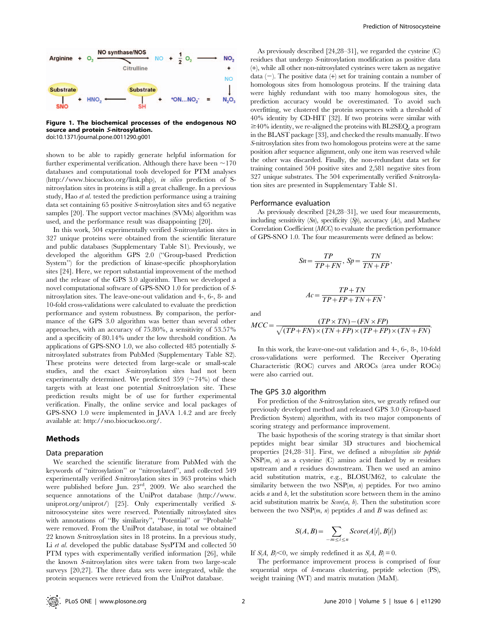

Figure 1. The biochemical processes of the endogenous NO source and protein <sup>S</sup>-nitrosylation. doi:10.1371/journal.pone.0011290.g001

shown to be able to rapidly generate helpful information for further experimental verification. Although there have been  $\sim$ 170 databases and computational tools developed for PTM analyses (http://www.biocuckoo.org/link.php), in silico prediction of Snitrosylation sites in proteins is still a great challenge. In a previous study, Hao et al. tested the prediction performance using a training data set containing 65 positive S-nitrosylation sites and 65 negative samples [20]. The support vector machines (SVMs) algorithm was used, and the performance result was disappointing [20].

In this work, 504 experimentally verified S-nitrosylation sites in 327 unique proteins were obtained from the scientific literature and public databases (Supplementary Table S1). Previously, we developed the algorithm GPS 2.0 (''Group-based Prediction System'') for the prediction of kinase-specific phosphorylation sites [24]. Here, we report substantial improvement of the method and the release of the GPS 3.0 algorithm. Then we developed a novel computational software of GPS-SNO 1.0 for prediction of Snitrosylation sites. The leave-one-out validation and 4-, 6-, 8- and 10-fold cross-validations were calculated to evaluate the prediction performance and system robustness. By comparison, the performance of the GPS 3.0 algorithm was better than several other approaches, with an accuracy of 75.80%, a sensitivity of 53.57% and a specificity of 80.14% under the low threshold condition. As applications of GPS-SNO 1.0, we also collected 485 potentially Snitrosylated substrates from PubMed (Supplementary Table S2). These proteins were detected from large-scale or small-scale studies, and the exact S-nitrosylation sites had not been experimentally determined. We predicted 359 ( $\sim$ 74%) of these targets with at least one potential S-nitrosylation site. These prediction results might be of use for further experimental verification. Finally, the online service and local packages of GPS-SNO 1.0 were implemented in JAVA 1.4.2 and are freely available at: http://sno.biocuckoo.org/.

# Methods

#### Data preparation

We searched the scientific literature from PubMed with the keywords of ''nitrosylation'' or ''nitrosylated'', and collected 549 experimentally verified S-nitrosylation sites in 363 proteins which were published before Jun. 23rd, 2009. We also searched the sequence annotations of the UniProt database (http://www. uniprot.org/uniprot/) [25]. Only experimentally verified Snitrosocysteine sites were reserved. Potentially nitrosylated sites with annotations of ''By similarity'', ''Potential'' or ''Probable'' were removed. From the UniProt database, in total we obtained 22 known S-nitrosylation sites in 18 proteins. In a previous study, Li et al. developed the public database SysPTM and collected 50 PTM types with experimentally verified information [26], while the known S-nitrosylation sites were taken from two large-scale surveys [20,27]. The three data sets were integrated, while the protein sequences were retrieved from the UniProt database.

As previously described [24,28–31], we regarded the cysteine (C) residues that undergo S-nitrosylation modification as positive data (+), while all other non-nitrosylated cysteines were taken as negative data  $(-)$ . The positive data  $(+)$  set for training contain a number of homologous sites from homologous proteins. If the training data were highly redundant with too many homologous sites, the prediction accuracy would be overestimated. To avoid such overfitting, we clustered the protein sequences with a threshold of 40% identity by CD-HIT [32]. If two proteins were similar with  $\geq$ 40% identity, we re-aligned the proteins with BL2SEQ, a program in the BLAST package [33], and checked the results manually. If two S-nitrosylation sites from two homologous proteins were at the same position after sequence alignment, only one item was reserved while the other was discarded. Finally, the non-redundant data set for training contained 504 positive sites and 2,581 negative sites from 327 unique substrates. The 504 experimentally verified S-nitrosylation sites are presented in Supplementary Table S1.

#### Performance evaluation

As previously described [24,28–31], we used four measurements, including sensitivity  $(Sn)$ , specificity  $(Sp)$ , accuracy  $(Ac)$ , and Mathew Correlation Coefficient (MCC) to evaluate the prediction performance of GPS-SNO 1.0. The four measurements were defined as below:

$$
Sn = \frac{TP}{TP + FN}, \, Sp = \frac{TN}{TN + FP},
$$
\n
$$
Ac = \frac{TP + TN}{TP + FP + TN + FN},
$$

and

$$
MCC = \frac{(TP \times TN) - (FN \times FP)}{\sqrt{(TP + FN) \times (TN + FP) \times (TP + FP) \times (TN + FN)}}
$$

In this work, the leave-one-out validation and 4-, 6-, 8-, 10-fold cross-validations were performed. The Receiver Operating Characteristic (ROC) curves and AROCs (area under ROCs) were also carried out.

#### The GPS 3.0 algorithm

For prediction of the S-nitrosylation sites, we greatly refined our previously developed method and released GPS 3.0 (Group-based Prediction System) algorithm, with its two major components of scoring strategy and performance improvement.

The basic hypothesis of the scoring strategy is that similar short peptides might bear similar 3D structures and biochemical properties [24,28–31]. First, we defined a nitrosylation site peptide  $NSP(m, n)$  as a cysteine (C) amino acid flanked by m residues upstream and  $n$  residues downstream. Then we used an amino acid substitution matrix, e.g., BLOSUM62, to calculate the similarity between the two  $NSP(m, n)$  peptides. For two amino acids  $a$  and  $b$ , let the substitution score between them in the amino acid substitution matrix be  $Score(a, b)$ . Then the substitution score between the two  $NSP(m, n)$  peptides A and B was defined as:

$$
S(A, B) = \sum_{-m \le i \le n} Score(A[i], B[i])
$$

If  $S(A, B) \leq 0$ , we simply redefined it as  $S(A, B) = 0$ .

The performance improvement process is comprised of four sequential steps of k-means clustering, peptide selection (PS), weight training (WT) and matrix mutation (MaM).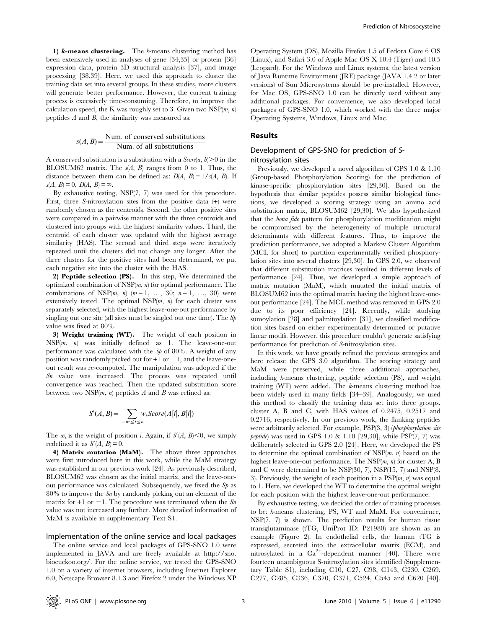1)  $k$ -means clustering. The  $k$ -means clustering method has been extensively used in analyses of gene [34,35] or protein [36] expression data, protein 3D structural analysis [37], and image processing [38,39]. Here, we used this approach to cluster the training data set into several groups. In these studies, more clusters will generate better performance. However, the current training process is excessively time-consuming. Therefore, to improve the calculation speed, the K was roughly set to 3. Given two NSP $(m, n)$ peptides  $A$  and  $B$ , the similarity was measured as:

$$
s(A, B) = \frac{\text{Num. of conserved substitutions}}{\text{Num. of all substitutions}}
$$

A conserved substitution is a substitution with a  $Score(a, b) > 0$  in the BLOSUM62 matrix. The  $s(A, B)$  ranges from 0 to 1. Thus, the distance between them can be defined as:  $D(A, B) = 1/s(A, B)$ . If  $s(A, B) = 0, D(A, B) = \infty.$ 

By exhaustive testing, NSP(7, 7) was used for this procedure. First, three S-nitrosylation sites from the positive data (+) were randomly chosen as the centroids. Second, the other positive sites were compared in a pairwise manner with the three centroids and clustered into groups with the highest similarity values. Third, the centroid of each cluster was updated with the highest average similarity (HAS). The second and third steps were iteratively repeated until the clusters did not change any longer. After the three clusters for the positive sites had been determined, we put each negative site into the cluster with the HAS.

2) Peptide selection (PS). In this step, We determined the optimized combination of  $NSP(m, n)$  for optimal performance. The combinations of NSP $(m, n)$   $(m = 1, ..., 30; n = 1, ..., 30)$  were extensively tested. The optimal  $NSP(m, n)$  for each cluster was separately selected, with the highest leave-one-out performance by singling out one site (all sites must be singled out one time). The Sp value was fixed at 80%.

3) Weight training (WT). The weight of each position in  $NSP(m, n)$  was initially defined as 1. The leave-one-out performance was calculated with the  $Sp$  of 80%. A weight of any position was randomly picked out for  $+1$  or  $-1$ , and the leave-oneout result was re-computed. The manipulation was adopted if the Sn value was increased. The process was repeated until convergence was reached. Then the updated substitution score between two NSP $(m, n)$  peptides A and B was refined as:

$$
S'(A, B) = \sum_{-m \le i \le n} w_i Score(A[i], B[i])
$$

The w<sub>i</sub> is the weight of position i. Again, if  $S'(A, B) \leq 0$ , we simply redefined it as  $S'(A, B) = 0$ .

4) Matrix mutation (MaM). The above three approaches were first introduced here in this work, while the MaM strategy was established in our previous work [24]. As previously described, BLOSUM62 was chosen as the initial matrix, and the leave-oneout performance was calculated. Subsequently, we fixed the  $Sp$  as  $80\%$  to improve the S<sub>n</sub> by randomly picking out an element of the matrix for  $+1$  or  $-1$ . The procedure was terminated when the Sn value was not increased any further. More detailed information of MaM is available in supplementary Text S1.

#### Implementation of the online service and local packages

The online service and local packages of GPS-SNO 1.0 were implemented in JAVA and are freely available at http://sno. biocuckoo.org/. For the online service, we tested the GPS-SNO 1.0 on a variety of internet browsers, including Internet Explorer 6.0, Netscape Browser 8.1.3 and Firefox 2 under the Windows XP

Operating System (OS), Mozilla Firefox 1.5 of Fedora Core 6 OS (Linux), and Safari 3.0 of Apple Mac OS X 10.4 (Tiger) and 10.5 (Leopard). For the Windows and Linux systems, the latest version of Java Runtime Environment (JRE) package (JAVA 1.4.2 or later versions) of Sun Microsystems should be pre-installed. However, for Mac OS, GPS-SNO 1.0 can be directly used without any additional packages. For convenience, we also developed local packages of GPS-SNO 1.0, which worked with the three major Operating Systems, Windows, Linux and Mac.

#### Results

# Development of GPS-SNO for prediction of Snitrosylation sites

Previously, we developed a novel algorithm of GPS 1.0 & 1.10 (Group-based Phosphorylation Scoring) for the prediction of kinase-specific phosphorylation sites [29,30]. Based on the hypothesis that similar peptides possess similar biological functions, we developed a scoring strategy using an amino acid substitution matrix, BLOSUM62 [29,30]. We also hypothesized that the bona fide pattern for phosphorylation modification might be compromised by the heterogeneity of multiple structural determinants with different features. Thus, to improve the prediction performance, we adopted a Markov Cluster Algorithm (MCL for short) to partition experimentally verified phosphorylation sites into several clusters [29,30]. In GPS 2.0, we observed that different substitution matrices resulted in different levels of performance [24]. Thus, we developed a simple approach of matrix mutation (MaM), which mutated the initial matrix of BLOSUM62 into the optimal matrix having the highest leave-oneout performance [24]. The MCL method was removed in GPS 2.0 due to its poor efficiency [24]. Recently, while studying sumoylation [28] and palmitoylation [31], we classified modification sites based on either experimentally determined or putative linear motifs. However, this procedure couldn't generate satisfying performance for prediction of S-nitrosylation sites.

In this work, we have greatly refined the previous strategies and here release the GPS 3.0 algorithm. The scoring strategy and MaM were preserved, while three additional approaches, including k-means clustering, peptide selection (PS), and weight training (WT) were added. The k-means clustering method has been widely used in many fields [34–39]. Analogously, we used this method to classify the training data set into three groups, cluster A, B and C, with HAS values of 0.2475, 0.2517 and 0.2716, respectively. In our previous work, the flanking peptides were arbitrarily selected. For example, PSP(3, 3) (phosphorylation site *peptide*) was used in GPS 1.0 & 1.10 [29,30], while  $PSP(7, 7)$  was deliberately selected in GPS 2.0 [24]. Here, we developed the PS to determine the optimal combination of  $NSP(m, n)$  based on the highest leave-one-out performance. The  $NSP(m, n)$  for cluster A, B and C were determined to be NSP(30, 7), NSP(15, 7) and NSP(8, 3). Previously, the weight of each position in a  $\text{PSP}(m, n)$  was equal to 1. Here, we developed the WT to determine the optimal weight for each position with the highest leave-one-out performance.

By exhaustive testing, we decided the order of training processes to be: k-means clustering, PS, WT and MaM. For convenience, NSP(7, 7) is shown. The prediction results for human tissue transglutaminase (tTG, UniProt ID: P21980) are shown as an example (Figure 2). In endothelial cells, the human tTG is expressed, secreted into the extracellular matrix (ECM), and nitrosylated in a Ca<sup>2+</sup>-dependent manner [40]. There were fourteen unambiguous S-nitrosylation sites identified (Supplementary Table S1), including C10, C27, C98, C143, C230, C269, C277, C285, C336, C370, C371, C524, C545 and C620 [40].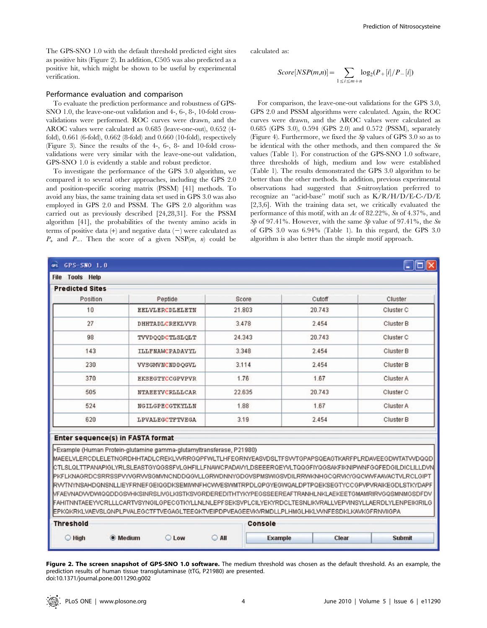The GPS-SNO 1.0 with the default threshold predicted eight sites as positive hits (Figure 2). In addition, C505 was also predicted as a positive hit, which might be shown to be useful by experimental verification.

# Performance evaluation and comparison

To evaluate the prediction performance and robustness of GPS-SNO 1.0, the leave-one-out validation and 4-, 6-, 8-, 10-fold crossvalidations were performed. ROC curves were drawn, and the AROC values were calculated as 0.685 (leave-one-out), 0.652 (4 fold), 0.661 (6-fold), 0.662 (8-fold) and 0.660 (10-fold), respectively (Figure 3). Since the results of the 4-, 6-, 8- and 10-fold crossvalidations were very similar with the leave-one-out validation, GPS-SNO 1.0 is evidently a stable and robust predictor.

To investigate the performance of the GPS 3.0 algorithm, we compared it to several other approaches, including the GPS 2.0 and position-specific scoring matrix (PSSM) [41] methods. To avoid any bias, the same training data set used in GPS 3.0 was also employed in GPS 2.0 and PSSM. The GPS 2.0 algorithm was carried out as previously described [24,28,31]. For the PSSM algorithm [41], the probabilities of the twenty amino acids in terms of positive data  $(+)$  and negative data  $(-)$  were calculated as  $P_+$  and  $P_-$ . Then the score of a given NSP $(m, n)$  could be calculated as:

$$
Score[NSP(m,n)] = \sum_{1 \le i \le m+n} log_2(P + [i]/P - [i])
$$

For comparison, the leave-one-out validations for the GPS 3.0, GPS 2.0 and PSSM algorithms were calculated. Again, the ROC curves were drawn, and the AROC values were calculated as 0.685 (GPS 3.0), 0.594 (GPS 2.0) and 0.572 (PSSM), separately (Figure 4). Furthermore, we fixed the Sp values of GPS 3.0 so as to be identical with the other methods, and then compared the Sn values (Table 1). For construction of the GPS-SNO 1.0 software, three thresholds of high, medium and low were established (Table 1). The results demonstrated the GPS 3.0 algorithm to be better than the other methods. In addition, previous experimental observations had suggested that S-nitrosylation preferred to recognize an ''acid-base'' motif such as K/R/H/D/E-C-/D/E [2,3,6]. With the training data set, we critically evaluated the performance of this motif, with an Ac of 82.22%, Sn of  $4.37\%$ , and Sp of 97.41%. However, with the same Sp value of 97.41%, the Sn of GPS 3.0 was 6.94% (Table 1). In this regard, the GPS 3.0 algorithm is also better than the simple motif approach.

| <b>Tools Help</b><br><b>File</b>  |                                                                                                                                                                                                                                                                                                                                                                                                                                                                                                                                                                                                                                                                                                                                                                                                                 |              |                |        |                      |  |
|-----------------------------------|-----------------------------------------------------------------------------------------------------------------------------------------------------------------------------------------------------------------------------------------------------------------------------------------------------------------------------------------------------------------------------------------------------------------------------------------------------------------------------------------------------------------------------------------------------------------------------------------------------------------------------------------------------------------------------------------------------------------------------------------------------------------------------------------------------------------|--------------|----------------|--------|----------------------|--|
| <b>Predicted Sites</b>            |                                                                                                                                                                                                                                                                                                                                                                                                                                                                                                                                                                                                                                                                                                                                                                                                                 |              |                |        |                      |  |
| Position                          | Peptide                                                                                                                                                                                                                                                                                                                                                                                                                                                                                                                                                                                                                                                                                                                                                                                                         | <b>Score</b> |                | Cutoff | Cluster              |  |
| 10                                | <b>EELVLERCDLELETN</b>                                                                                                                                                                                                                                                                                                                                                                                                                                                                                                                                                                                                                                                                                                                                                                                          | 21.803       |                | 20.743 | Cluster C            |  |
| 27                                | <b>DHHTADLCREKLVVR</b>                                                                                                                                                                                                                                                                                                                                                                                                                                                                                                                                                                                                                                                                                                                                                                                          | 3.478        |                | 2.454  | <b>Cluster B</b>     |  |
| 98                                | TVVDQQDCTLSLQLT                                                                                                                                                                                                                                                                                                                                                                                                                                                                                                                                                                                                                                                                                                                                                                                                 | 24.343       |                | 20.743 | Cluster <sub>C</sub> |  |
| 143                               | <b>ILLFNAMCPADAVYL</b>                                                                                                                                                                                                                                                                                                                                                                                                                                                                                                                                                                                                                                                                                                                                                                                          | 3.348        |                | 2.454  | Cluster B            |  |
| 230                               | VVSGMVNCNDDQGVL                                                                                                                                                                                                                                                                                                                                                                                                                                                                                                                                                                                                                                                                                                                                                                                                 | 3.114        |                | 2.454  | Cluster B            |  |
| 370                               | EKSEGTYCCGPVPVR                                                                                                                                                                                                                                                                                                                                                                                                                                                                                                                                                                                                                                                                                                                                                                                                 | 1.76         |                | 1.67   | Cluster A            |  |
| 505                               | <b>NTAEEYVCRLLLCAR</b>                                                                                                                                                                                                                                                                                                                                                                                                                                                                                                                                                                                                                                                                                                                                                                                          | 22.635       |                | 20.743 | Cluster <sub>C</sub> |  |
| 524                               | NGILGPECGTKYLLN                                                                                                                                                                                                                                                                                                                                                                                                                                                                                                                                                                                                                                                                                                                                                                                                 | 1.88         |                | 1.67   | Cluster A            |  |
| 620                               | <b>LPVALEGCTFTVEGA</b>                                                                                                                                                                                                                                                                                                                                                                                                                                                                                                                                                                                                                                                                                                                                                                                          | 3.19         |                | 2.454  | Cluster B            |  |
| Enter sequence(s) in FASTA format | >Example (Human Protein-glutamine gamma-glutamyltransferase, P21980)<br>MAEELVLERCDLELETNGRDHHTADLCREKLVVRRGQPFWLTLHFEGRNYEASVDSLTFSVVTGPAPSQEAGTKARFPLRDAVEEGDWTATVVDQQD<br>CTLSLQLTTPANAPIGLYRLSLEASTGYQGSSFVLGHFILLFNAWCPADAVYLDSEEERQEYVLTQQGFIYQGSAKFIKNIPWNFGQFEDGILDICLILLDVN<br>PKFLKNAGRDCSRRSSPVVVGRVVSGMVNCNDDQGVLLGRWDNNYGDGVSPMSWIGSVDILRRWKNHGCQRVKYGQCWVFAAVACTVLRCLGIPT<br>RVVTNYNSAHDQNSNLLIEYFRNEFGEIQGDKSEMIWNFHCVWESWMTRPDLQPGYEGWQALDPTPQEKSEGTYCCGPVPVRAIKEGDLSTKYDAPF<br>NFAEVNADVVDWIQQDDGSVHKSINRSLIVGLKISTKSVGRDEREDITHTYKYPEGSSEEREAFTRANHLNKLAEKEETGMAMRIRVGQSMNMGSDFDV<br>FAHITNNTAEEYVCRLLLCARTVSYNGILGPECGTKYLLNLNLEPFSEKSVPLCILYEKYRDCLTESNLIKVRALLVEPVINSYLLAERDLYLENPEIKIRILG<br>EPKQKRKLVAEVSLQNPLPVALEGCTFTVEGAGLTEEQKTVEIPDPVEAGEEVKVRMDLLPLHMGLHKLVVNFESDKLKAVKGFRNVIIGPA |              |                |        |                      |  |
| <b>Threshold</b>                  |                                                                                                                                                                                                                                                                                                                                                                                                                                                                                                                                                                                                                                                                                                                                                                                                                 |              | <b>Console</b> |        |                      |  |
|                                   |                                                                                                                                                                                                                                                                                                                                                                                                                                                                                                                                                                                                                                                                                                                                                                                                                 |              |                |        |                      |  |

Figure 2. The screen snapshot of GPS-SNO 1.0 software. The medium threshold was chosen as the default threshold. As an example, the prediction results of human tissue transglutaminase (tTG, P21980) are presented. doi:10.1371/journal.pone.0011290.g002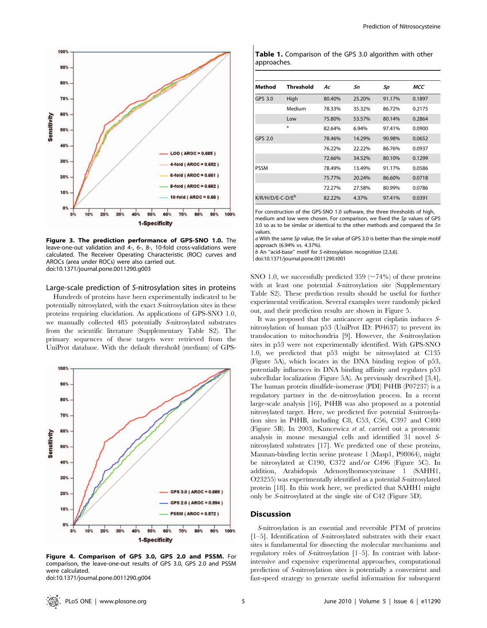

Figure 3. The prediction performance of GPS-SNO 1.0. The leave-one-out validation and 4-, 6-, 8-, 10-fold cross-validations were calculated. The Receiver Operating Characteristic (ROC) curves and AROCs (area under ROCs) were also carried out. doi:10.1371/journal.pone.0011290.g003

#### Large-scale prediction of S-nitrosylation sites in proteins

Hundreds of proteins have been experimentally indicated to be potentially nitrosylated, with the exact S-nitrosylation sites in these proteins requiring elucidation. As applications of GPS-SNO 1.0, we manually collected 485 potentially S-nitrosylated substrates from the scientific literature (Supplementary Table S2). The primary sequences of these targets were retrieved from the UniProt database. With the default threshold (medium) of GPS-



Figure 4. Comparison of GPS 3.0, GPS 2.0 and PSSM. For comparison, the leave-one-out results of GPS 3.0, GPS 2.0 and PSSM were calculated.

doi:10.1371/journal.pone.0011290.g004

| Table 1. Comparison of the GPS 3.0 algorithm with other |  |  |  |
|---------------------------------------------------------|--|--|--|
| approaches.                                             |  |  |  |

| Method                       | Threshold | Ac     | Sn     | Sp     | MCC    |
|------------------------------|-----------|--------|--------|--------|--------|
| GPS 3.0                      | High      | 80.40% | 25.20% | 91.17% | 0.1897 |
|                              | Medium    | 78.33% | 35.32% | 86.72% | 0.2175 |
|                              | Low       | 75.80% | 53.57% | 80.14% | 0.2864 |
|                              | a         | 82.64% | 6.94%  | 97.41% | 0.0900 |
| GPS 2.0                      |           | 78.46% | 14.29% | 90.98% | 0.0652 |
|                              |           | 76.22% | 22.22% | 86.76% | 0.0937 |
|                              |           | 72.66% | 34.52% | 80.10% | 0.1299 |
| <b>PSSM</b>                  |           | 78.49% | 13.49% | 91.17% | 0.0586 |
|                              |           | 75.77% | 20.24% | 86.60% | 0.0718 |
|                              |           | 72.27% | 27.58% | 80.99% | 0.0786 |
| K/R/H/D/E-C-D/E <sup>b</sup> |           | 82.22% | 4.37%  | 97.41% | 0.0391 |

For construction of the GPS-SNO 1.0 software, the three thresholds of high, medium and low were chosen. For comparison, we fixed the Sp values of GPS 3.0 so as to be similar or identical to the other methods and compared the Sn values.

 $a$  With the same Sp value, the Sn value of GPS 3.0 is better than the simple motif approach (6.94% vs. 4.37%).

b An ''acid-base'' motif for S-nitrosylation recognition [2,3,6].

doi:10.1371/journal.pone.0011290.t001

SNO 1.0, we successfully predicted 359 ( $\sim$  74%) of these proteins with at least one potential S-nitrosylation site (Supplementary Table S2). These prediction results should be useful for further experimental verification. Several examples were randomly picked out, and their prediction results are shown in Figure 5.

It was proposed that the anticancer agent cisplatin induces Snitrosylation of human p53 (UniProt ID: P04637) to prevent its translocation to mitochondria [9]. However, the S-nitrosylation sites in p53 were not experimentally identified. With GPS-SNO 1.0, we predicted that p53 might be nitrosylated at C135 (Figure 5A), which locates in the DNA binding region of p53, potentially influences its DNA binding affinity and regulates p53 subcellular localization (Figure 5A). As previously described [3,4], The human protein disulfide-isomerase (PDI) P4HB (P07237) is a regulatory partner in the de-nitrosylation process. In a recent large-scale analysis [16], P4HB was also proposed as a potential nitrosylated target. Here, we predicted five potential S-nitrosylation sites in P4HB, including C8, C53, C56, C397 and C400 (Figure 5B). In 2003, Kuncewicz et al. carried out a proteomic analysis in mouse mesangial cells and identified 31 novel Snitrosylated substrates [17]. We predicted one of these proteins, Mannan-binding lectin serine protease 1 (Masp1, P98064), might be nitrosylated at C190, C372 and/or C496 (Figure 5C). In addition, Arabidopsis Adenosylhomocysteinase 1 (SAHH1, O23255) was experimentally identified as a potential S-nitrosylated protein [18]. In this work here, we predicted that SAHH1 might only be S-nitrosylated at the single site of C42 (Figure 5D).

#### **Discussion**

S-nitrosylation is an essential and reversible PTM of proteins [1–5]. Identification of S-nitrosylated substrates with their exact sites is fundamental for dissecting the molecular mechanisms and regulatory roles of S-nitrosylation [1–5]. In contrast with laborintensive and expensive experimental approaches, computational prediction of S-nitrosylation sites is potentially a convenient and fast-speed strategy to generate useful information for subsequent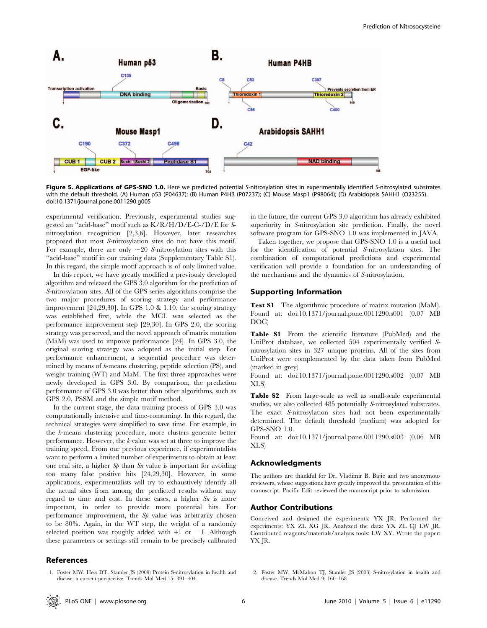

Figure 5. Applications of GPS-SNO 1.0. Here we predicted potential S-nitrosylation sites in experimentally identified S-nitrosylated substrates with the default threshold. (A) Human p53 (P04637); (B) Human P4HB (P07237); (C) Mouse Masp1 (P98064); (D) Arabidopsis SAHH1 (O23255). doi:10.1371/journal.pone.0011290.g005

experimental verification. Previously, experimental studies suggested an ''acid-base'' motif such as K/R/H/D/E-C-/D/E for Snitrosylation recognition [2,3,6]. However, later researches proposed that most S-nitrosylation sites do not have this motif. For example, there are only  $\sim$  20 S-nitrosylation sites with this ''acid-base'' motif in our training data (Supplementary Table S1). In this regard, the simple motif approach is of only limited value.

In this report, we have greatly modified a previously developed algorithm and released the GPS 3.0 algorithm for the prediction of S-nitrosylation sites. All of the GPS series algorithms comprise the two major procedures of scoring strategy and performance improvement [24,29,30]. In GPS 1.0 & 1.10, the scoring strategy was established first, while the MCL was selected as the performance improvement step [29,30]. In GPS 2.0, the scoring strategy was preserved, and the novel approach of matrix mutation (MaM) was used to improve performance [24]. In GPS 3.0, the original scoring strategy was adopted as the initial step. For performance enhancement, a sequential procedure was determined by means of k-means clustering, peptide selection (PS), and weight training (WT) and MaM. The first three approaches were newly developed in GPS 3.0. By comparison, the prediction performance of GPS 3.0 was better than other algorithms, such as GPS 2.0, PSSM and the simple motif method.

In the current stage, the data training process of GPS 3.0 was computationally intensive and time-consuming. In this regard, the technical strategies were simplified to save time. For example, in the k-means clustering procedure, more clusters generate better performance. However, the k value was set at three to improve the training speed. From our previous experience, if experimentalists want to perform a limited number of experiments to obtain at least one real site, a higher  $S_p$  than  $S_n$  value is important for avoiding too many false positive hits [24,29,30]. However, in some applications, experimentalists will try to exhaustively identify all the actual sites from among the predicted results without any regard to time and cost. In these cases, a higher  $Sn$  is more important, in order to provide more potential hits. For performance improvement, the Sp value was arbitrarily chosen to be 80%. Again, in the WT step, the weight of a randomly selected position was roughly added with  $+1$  or  $-1$ . Although these parameters or settings still remain to be precisely calibrated

#### References

1. Foster MW, Hess DT, Stamler JS (2009) Protein S-nitrosylation in health and disease: a current perspective. Trends Mol Med 15: 391–404.

in the future, the current GPS 3.0 algorithm has already exhibited superiority in S-nitrosylation site prediction. Finally, the novel software program for GPS-SNO 1.0 was implemented in JAVA.

Taken together, we propose that GPS-SNO 1.0 is a useful tool for the identification of potential S-nitrosylation sites. The combination of computational predictions and experimental verification will provide a foundation for an understanding of the mechanisms and the dynamics of S-nitrosylation.

# Supporting Information

Text S1 The algorithmic procedure of matrix mutation (MaM). Found at: doi:10.1371/journal.pone.0011290.s001 (0.07 MB DOC)

Table S1 From the scientific literature (PubMed) and the UniProt database, we collected 504 experimentally verified Snitrosylation sites in 327 unique proteins. All of the sites from UniProt were complemented by the data taken from PubMed (marked in grey).

Found at: doi:10.1371/journal.pone.0011290.s002 (0.07 MB XLS)

Table S2 From large-scale as well as small-scale experimental studies, we also collected 485 potentially S-nitrosylated substrates. The exact S-nitrosylation sites had not been experimentally determined. The default threshold (medium) was adopted for GPS-SNO 1.0.

Found at: doi:10.1371/journal.pone.0011290.s003 (0.06 MB XLS)

# Acknowledgments

The authors are thankful for Dr. Vladimir B. Bajic and two anonymous reviewers, whose suggestions have greatly improved the presentation of this manuscript. Pacific Edit reviewed the manuscript prior to submission.

# Author Contributions

Conceived and designed the experiments: YX JR. Performed the experiments: YX ZL XG JR. Analyzed the data: YX ZL CJ LW JR. Contributed reagents/materials/analysis tools: LW XY. Wrote the paper: YX JR.

2. Foster MW, McMahon TJ, Stamler JS (2003) S-nitrosylation in health and disease. Trends Mol Med 9: 160–168.